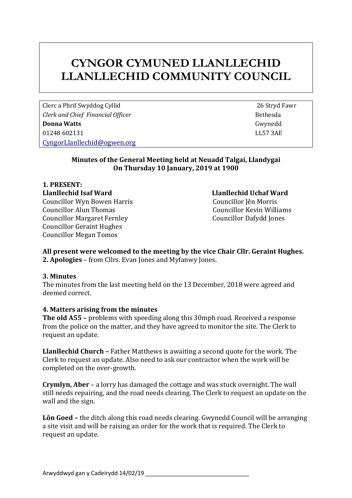# **CYNGOR CYMUNED LLANLLECHID LLANLLECHID COMMUNITY COUNCIL**

Clerc a Phrif Swyddog Cyllid 26 Stryd Fawr *Clerk* and *Chief Financial Officer* **Bethesda Bethesda Donna Watts** Gwynedd 01248 602131 LL57 3AE [CyngorLlanllechid@ogwen.org](mailto:CyngorLlanllechid@ogwen.org)

### **Minutes of the General Meeting held at Neuadd Talgai, Llandygai On Thursday 10 January, 2019 at 1900**

**1. PRESENT: Llanllechid Isaf Ward Llanllechid Uchaf Ward**  Councillor Wyn Bowen Harris Councillor Jên Morris Councillor Alun Thomas Councillor Kevin Williams Councillor Margaret Fernley Councillor Dafydd Jones Councillor Geraint Hughes Councillor Megan Tomos

# **All present were welcomed to the meeting by the vice Chair Cllr. Geraint Hughes.**

**2. Apologies** – from Cllrs. Evan Jones and Myfanwy Jones.

### **3. Minutes**

The minutes from the last meeting held on the 13 December, 2018 were agreed and deemed correct.

### **4. Matters arising from the minutes**

**The old A55 –** problems with speeding along this 30mph road. Received a response from the police on the matter, and they have agreed to monitor the site. The Clerk to request an update.

**Llanllechid Church –** Father Matthews is awaiting a second quote for the work. The Clerk to request an update. Also need to ask our contractor when the work will be completed on the over-growth.

**Crymlyn, Aber** – a lorry has damaged the cottage and was stuck overnight. The wall still needs repairing, and the road needs clearing. The Clerk to request an update on the wall and the sign.

**Lôn Goed –** the ditch along this road needs clearing. Gwynedd Council will be arranging a site visit and will be raising an order for the work that is required. The Clerk to request an update.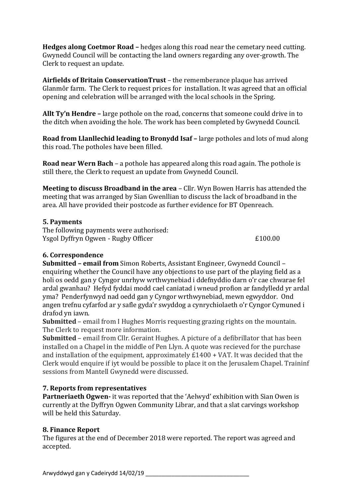**Hedges along Coetmor Road –** hedges along this road near the cemetary need cutting. Gwynedd Council will be contacting the land owners regarding any over-growth. The Clerk to request an update.

**Airfields of Britain ConservationTrust** – the rememberance plaque has arrived Glanmôr farm. The Clerk to request prices for installation. It was agreed that an official opening and celebration will be arranged with the local schools in the Spring.

**Allt Ty'n Hendre –** large pothole on the road, concerns that someone could drive in to the ditch when avoiding the hole. The work has been completed by Gwynedd Council.

**Road from Llanllechid leading to Bronydd Isaf – large potholes and lots of mud along** this road. The potholes have been filled.

**Road near Wern Bach** – a pothole has appeared along this road again. The pothole is still there, the Clerk to request an update from Gwynedd Council.

**Meeting to discuss Broadband in the area** – Cllr. Wyn Bowen Harris has attended the meeting that was arranged by Sian Gwenllian to discuss the lack of broadband in the area. All have provided their postcode as further evidence for BT Openreach.

## **5. Payments**

The following payments were authorised: Ysgol Dyffryn Ogwen - Rugby Officer £100.00

# **6. Correspondence**

**Submitted – email from** Simon Roberts, Assistant Engineer, Gwynedd Council – enquiring whether the Council have any objections to use part of the playing field as a holi os oedd gan y Cyngor unrhyw wrthwynebiad i ddefnyddio darn o'r cae chwarae fel ardal gwanhau? Hefyd fyddai modd cael caniatad i wneud profion ar fandylledd yr ardal yma? Penderfynwyd nad oedd gan y Cyngor wrthwynebiad, mewn egwyddor. Ond angen trefnu cyfarfod ar y safle gyda'r swyddog a cynrychiolaeth o'r Cyngor Cymuned i drafod yn iawn.

**Submitted** – email from I Hughes Morris requesting grazing rights on the mountain. The Clerk to request more information.

**Submitted** – email from Cllr. Geraint Hughes. A picture of a defibrillator that has been installed on a Chapel in the middle of Pen Llyn. A quote was recieved for the purchase and installation of the equipment, approximately £1400 + VAT. It was decided that the Clerk would enquire if iyt would be possible to place it on the Jerusalem Chapel. Traininf sessions from Mantell Gwynedd were discussed.

# **7. Reports from representatives**

**Partneriaeth Ogwen-** it was reported that the 'Aelwyd' exhibition with Sian Owen is currently at the Dyffryn Ogwen Community Librar, and that a slat carvings workshop will be held this Saturday.

# **8. Finance Report**

The figures at the end of December 2018 were reported. The report was agreed and accepted.